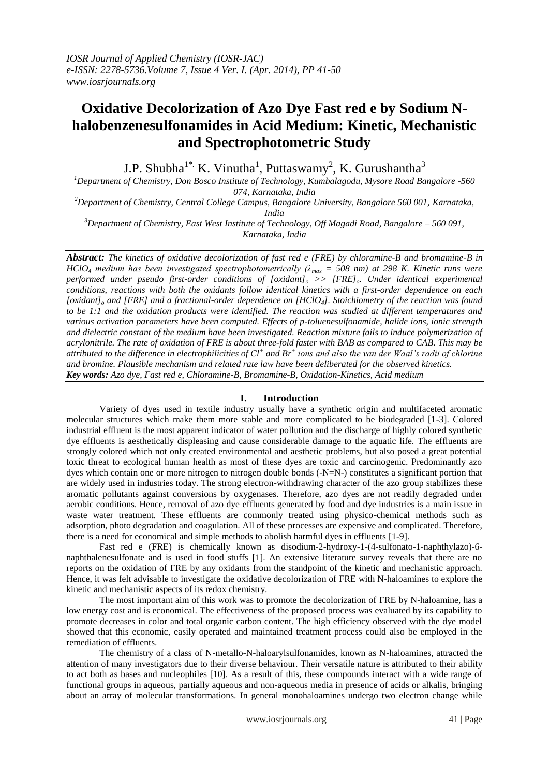# **Oxidative Decolorization of Azo Dye Fast red e by Sodium Nhalobenzenesulfonamides in Acid Medium: Kinetic, Mechanistic and Spectrophotometric Study**

J.P. Shubha $^{1*}$ : K. Vinutha<sup>1</sup>, Puttaswamy<sup>2</sup>, K. Gurushantha<sup>3</sup>

*<sup>1</sup>Department of Chemistry, Don Bosco Institute of Technology, Kumbalagodu, Mysore Road Bangalore -560 074, Karnataka, India*

*<sup>2</sup>Department of Chemistry, Central College Campus, Bangalore University, Bangalore 560 001, Karnataka, India*

*<sup>3</sup>Department of Chemistry, East West Institute of Technology, Off Magadi Road, Bangalore – 560 091, Karnataka, India*

*Abstract: The kinetics of oxidative decolorization of fast red e (FRE) by chloramine-B and bromamine-B in HClO<sup>4</sup> medium has been investigated spectrophotometrically (λmax = 508 nm) at 298 K. Kinetic runs were performed under pseudo first-order conditions of [oxidant]<sup>o</sup> >> [FRE]o. Under identical experimental conditions, reactions with both the oxidants follow identical kinetics with a first-order dependence on each [oxidant]<sup>o</sup> and [FRE] and a fractional-order dependence on [HClO4]. Stoichiometry of the reaction was found to be 1:1 and the oxidation products were identified. The reaction was studied at different temperatures and various activation parameters have been computed. Effects of p-toluenesulfonamide, halide ions, ionic strength*  and dielectric constant of the medium have been investigated. Reaction mixture fails to induce polymerization of *acrylonitrile. The rate of oxidation of FRE is about three-fold faster with BAB as compared to CAB. This may be attributed to the difference in electrophilicities of Cl<sup>+</sup> and Br<sup>+</sup> ions and also the van der Waal's radii of chlorine and bromine. Plausible mechanism and related rate law have been deliberated for the observed kinetics. Key words: Azo dye, Fast red e, Chloramine-B, Bromamine-B, Oxidation-Kinetics, Acid medium*

# **I. Introduction**

Variety of dyes used in textile industry usually have a synthetic origin and multifaceted aromatic molecular structures which make them more stable and more complicated to be biodegraded [1-3]. Colored industrial effluent is the most apparent indicator of water pollution and the discharge of highly colored synthetic dye effluents is aesthetically displeasing and cause considerable damage to the aquatic life. The effluents are strongly colored which not only created environmental and aesthetic problems, but also posed a great potential toxic threat to ecological human health as most of these dyes are toxic and carcinogenic. Predominantly azo dyes which contain one or more nitrogen to nitrogen double bonds (-N=N-) constitutes a significant portion that are widely used in industries today. The strong electron-withdrawing character of the azo group stabilizes these aromatic pollutants against conversions by oxygenases. Therefore, azo dyes are not readily degraded under aerobic conditions. Hence, removal of azo dye effluents generated by food and dye industries is a main issue in waste water treatment. These effluents are commonly treated using physico-chemical methods such as adsorption, photo degradation and coagulation. All of these processes are expensive and complicated. Therefore, there is a need for economical and simple methods to abolish harmful dyes in effluents [1-9].

Fast red e (FRE) is chemically known as disodium-2-hydroxy-1-(4-sulfonato-1-naphthylazo)-6 naphthalenesulfonate and is used in food stuffs [1]. An extensive literature survey reveals that there are no reports on the oxidation of FRE by any oxidants from the standpoint of the kinetic and mechanistic approach. Hence, it was felt advisable to investigate the oxidative decolorization of FRE with N-haloamines to explore the kinetic and mechanistic aspects of its redox chemistry.

The most important aim of this work was to promote the decolorization of FRE by N-haloamine, has a low energy cost and is economical. The effectiveness of the proposed process was evaluated by its capability to promote decreases in color and total organic carbon content. The high efficiency observed with the dye model showed that this economic, easily operated and maintained treatment process could also be employed in the remediation of effluents.

The chemistry of a class of N-metallo-N-haloarylsulfonamides, known as N-haloamines, attracted the attention of many investigators due to their diverse behaviour. Their versatile nature is attributed to their ability to act both as bases and nucleophiles [10]. As a result of this, these compounds interact with a wide range of functional groups in aqueous, partially aqueous and non-aqueous media in presence of acids or alkalis, bringing about an array of molecular transformations. In general monohaloamines undergo two electron change while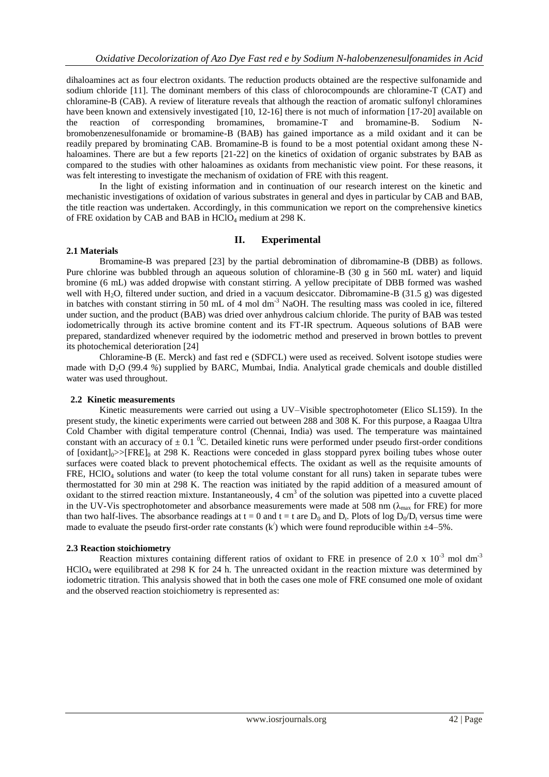dihaloamines act as four electron oxidants. The reduction products obtained are the respective sulfonamide and sodium chloride [11]. The dominant members of this class of chlorocompounds are chloramine-T (CAT) and chloramine-B (CAB). A review of literature reveals that although the reaction of aromatic sulfonyl chloramines have been known and extensively investigated [10, 12-16] there is not much of information [17-20] available on the reaction of corresponding bromamines, bromamine-T and bromamine-B. Sodium Nbromobenzenesulfonamide or bromamine-B (BAB) has gained importance as a mild oxidant and it can be readily prepared by brominating CAB. Bromamine-B is found to be a most potential oxidant among these Nhaloamines. There are but a few reports [21-22] on the kinetics of oxidation of organic substrates by BAB as compared to the studies with other haloamines as oxidants from mechanistic view point. For these reasons, it was felt interesting to investigate the mechanism of oxidation of FRE with this reagent.

In the light of existing information and in continuation of our research interest on the kinetic and mechanistic investigations of oxidation of various substrates in general and dyes in particular by CAB and BAB, the title reaction was undertaken. Accordingly, in this communication we report on the comprehensive kinetics of FRE oxidation by CAB and BAB in HClO<sub>4</sub> medium at 298 K.

# **II. Experimental**

#### **2.1 Materials**

Bromamine-B was prepared [23] by the partial debromination of dibromamine-B (DBB) as follows. Pure chlorine was bubbled through an aqueous solution of chloramine-B (30 g in 560 mL water) and liquid bromine (6 mL) was added dropwise with constant stirring. A yellow precipitate of DBB formed was washed well with H<sub>2</sub>O, filtered under suction, and dried in a vacuum desiccator. Dibromamine-B (31.5 g) was digested in batches with constant stirring in 50 mL of 4 mol dm<sup>-3</sup> NaOH. The resulting mass was cooled in ice, filtered under suction, and the product (BAB) was dried over anhydrous calcium chloride. The purity of BAB was tested iodometrically through its active bromine content and its FT-IR spectrum. Aqueous solutions of BAB were prepared, standardized whenever required by the iodometric method and preserved in brown bottles to prevent its photochemical deterioration [24]

Chloramine-B (E. Merck) and fast red e (SDFCL) were used as received. Solvent isotope studies were made with D2O (99.4 *%*) supplied by BARC, Mumbai, India. Analytical grade chemicals and double distilled water was used throughout.

## **2.2 Kinetic measurements**

Kinetic measurements were carried out using a UV–Visible spectrophotometer (Elico SL159). In the present study, the kinetic experiments were carried out between 288 and 308 K. For this purpose, a Raagaa Ultra Cold Chamber with digital temperature control (Chennai, India) was used. The temperature was maintained constant with an accuracy of  $\pm$  0.1 <sup>o</sup>C. Detailed kinetic runs were performed under pseudo first-order conditions of  $[oxidant]_0 \gg [FRE]_0$  at 298 K. Reactions were conceded in glass stoppard pyrex boiling tubes whose outer surfaces were coated black to prevent photochemical effects. The oxidant as well as the requisite amounts of FRE, HClO<sup>4</sup> solutions and water (to keep the total volume constant for all runs) taken in separate tubes were thermostatted for 30 min at 298 K. The reaction was initiated by the rapid addition of a measured amount of oxidant to the stirred reaction mixture. Instantaneously,  $4 \text{ cm}^3$  of the solution was pipetted into a cuvette placed in the UV-Vis spectrophotometer and absorbance measurements were made at 508 nm ( $\lambda_{\text{max}}$  for FRE) for more than two half-lives. The absorbance readings at  $t = 0$  and  $t = t$  are  $D_0$  and  $D_t$ . Plots of log  $D_0/D_t$  versus time were made to evaluate the pseudo first-order rate constants  $(k')$  which were found reproducible within  $\pm$ 4-5%.

#### **2.3 Reaction stoichiometry**

Reaction mixtures containing different ratios of oxidant to FRE in presence of 2.0 x  $10^{-3}$  mol dm<sup>-3</sup> HClO<sup>4</sup> were equilibrated at 298 K for 24 h. The unreacted oxidant in the reaction mixture was determined by iodometric titration. This analysis showed that in both the cases one mole of FRE consumed one mole of oxidant and the observed reaction stoichiometry is represented as: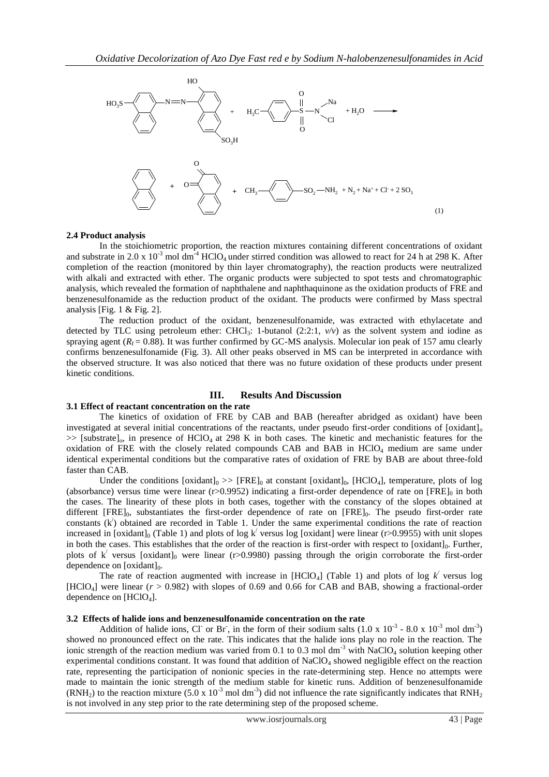

#### **2.4 Product analysis**

In the stoichiometric proportion, the reaction mixtures containing different concentrations of oxidant and substrate in 2.0 x  $10^{-3}$  mol dm<sup>-4</sup> HClO<sub>4</sub> under stirred condition was allowed to react for 24 h at 298 K. After completion of the reaction (monitored by thin layer chromatography), the reaction products were neutralized with alkali and extracted with ether. The organic products were subjected to spot tests and chromatographic analysis, which revealed the formation of naphthalene and naphthaquinone as the oxidation products of FRE and benzenesulfonamide as the reduction product of the oxidant. The products were confirmed by Mass spectral analysis [Fig. 1 & Fig. 2].

The reduction product of the oxidant, benzenesulfonamide, was extracted with ethylacetate and detected by TLC using petroleum ether: CHCl<sub>3</sub>: 1-butanol (2:2:1,  $v/v$ ) as the solvent system and iodine as spraying agent  $(R_f = 0.88)$ . It was further confirmed by GC-MS analysis. Molecular ion peak of 157 amu clearly confirms benzenesulfonamide (Fig. 3). All other peaks observed in MS can be interpreted in accordance with the observed structure. It was also noticed that there was no future oxidation of these products under present kinetic conditions.

#### **III. Results And Discussion**

#### **3.1 Effect of reactant concentration on the rate**

The kinetics of oxidation of FRE by CAB and BAB (hereafter abridged as oxidant) have been investigated at several initial concentrations of the reactants, under pseudo first-order conditions of [oxidant].  $\gg$  [substrate]<sub>0</sub>, in presence of HClO<sub>4</sub> at 298 K in both cases. The kinetic and mechanistic features for the oxidation of FRE with the closely related compounds  $CAB$  and  $BAB$  in  $HCIO<sub>4</sub>$  medium are same under identical experimental conditions but the comparative rates of oxidation of FRE by BAB are about three-fold faster than CAB.

Under the conditions  $[oxidant]_0$  >>  $[FRE]_0$  at constant  $[oxidant]_0$ ,  $[HClO_4]$ , temperature, plots of log (absorbance) versus time were linear (r>0.9952) indicating a first-order dependence of rate on [FRE] $_0$  in both the cases. The linearity of these plots in both cases, together with the constancy of the slopes obtained at different  $[FRE]_0$ , substantiates the first-order dependence of rate on  $[FRE]_0$ . The pseudo first-order rate constants  $(k)$  obtained are recorded in Table 1. Under the same experimental conditions the rate of reaction increased in [oxidant]<sub>0</sub> (Table 1) and plots of log k<sup> $\prime$ </sup> versus log [oxidant] were linear (r>0.9955) with unit slopes in both the cases. This establishes that the order of the reaction is first-order with respect to [oxidant]<sub>0</sub>. Further, plots of  $k'$  versus [oxidant]<sub>0</sub> were linear (r>0.9980) passing through the origin corroborate the first-order dependence on  $[oxidant]_0$ .

The rate of reaction augmented with increase in [HClO<sub>4</sub>] (Table 1) and plots of log  $k'$  versus log [HClO<sub>4</sub>] were linear  $(r > 0.982)$  with slopes of 0.69 and 0.66 for CAB and BAB, showing a fractional-order dependence on  $[HClO<sub>4</sub>]$ .

#### **3.2 Effects of halide ions and benzenesulfonamide concentration on the rate**

Addition of halide ions, Cl or Br, in the form of their sodium salts  $(1.0 \times 10^{-3} - 8.0 \times 10^{-3} \text{ mol dm}^{-3})$ showed no pronounced effect on the rate. This indicates that the halide ions play no role in the reaction. The ionic strength of the reaction medium was varied from 0.1 to 0.3 mol dm<sup>-3</sup> with NaClO<sub>4</sub> solution keeping other experimental conditions constant. It was found that addition of NaClO<sub>4</sub> showed negligible effect on the reaction rate, representing the participation of nonionic species in the rate-determining step. Hence no attempts were made to maintain the ionic strength of the medium stable for kinetic runs. Addition of benzenesulfonamide (RNH<sub>2</sub>) to the reaction mixture (5.0 x 10<sup>-3</sup> mol dm<sup>-3</sup>) did not influence the rate significantly indicates that RNH<sub>2</sub> is not involved in any step prior to the rate determining step of the proposed scheme.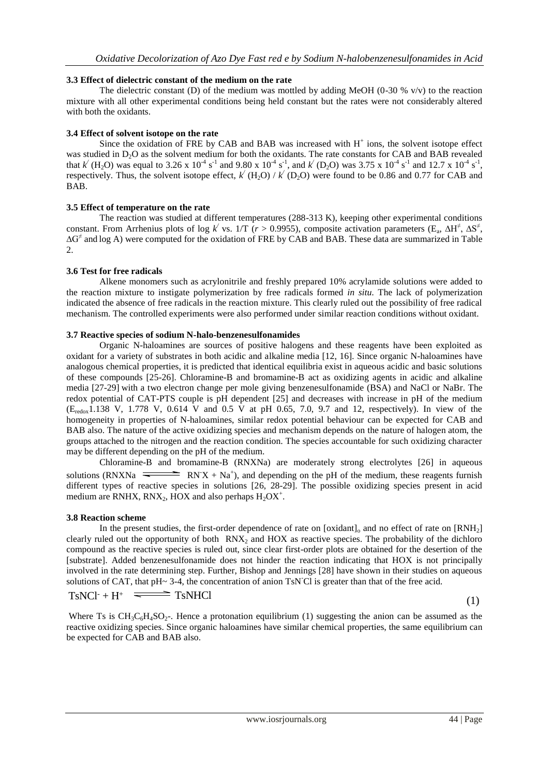## **3.3 Effect of dielectric constant of the medium on the rate**

The dielectric constant (D) of the medium was mottled by adding MeOH (0-30 %  $v/v$ ) to the reaction mixture with all other experimental conditions being held constant but the rates were not considerably altered with both the oxidants.

## **3.4 Effect of solvent isotope on the rate**

Since the oxidation of FRE by CAB and BAB was increased with  $H^+$  ions, the solvent isotope effect was studied in D<sub>2</sub>O as the solvent medium for both the oxidants. The rate constants for CAB and BAB revealed that  $k'(H_2O)$  was equal to 3.26 x 10<sup>-4</sup> s<sup>-1</sup> and 9.80 x 10<sup>-4</sup> s<sup>-1</sup>, and  $k'(D_2O)$  was 3.75 x 10<sup>-4</sup> s<sup>-1</sup> and 12.7 x 10<sup>-4</sup> s<sup>-1</sup>, respectively. Thus, the solvent isotope effect,  $k'(H_2O) / k'(D_2O)$  were found to be 0.86 and 0.77 for CAB and BAB.

#### **3.5 Effect of temperature on the rate**

The reaction was studied at different temperatures (288-313 K), keeping other experimental conditions constant. From Arrhenius plots of log  $k'$  vs. 1/T ( $r > 0.9955$ ), composite activation parameters (E<sub>a</sub>,  $\Delta H^{\neq}$ ,  $\Delta S^{\neq}$ , ∆G<sup>≠</sup> and log A) were computed for the oxidation of FRE by CAB and BAB. These data are summarized in Table 2.

## **3.6 Test for free radicals**

Alkene monomers such as acrylonitrile and freshly prepared 10% acrylamide solutions were added to the reaction mixture to instigate polymerization by free radicals formed *in situ*. The lack of polymerization indicated the absence of free radicals in the reaction mixture. This clearly ruled out the possibility of free radical mechanism. The controlled experiments were also performed under similar reaction conditions without oxidant.

#### **3.7 Reactive species of sodium N-halo-benzenesulfonamides**

Organic N-haloamines are sources of positive halogens and these reagents have been exploited as oxidant for a variety of substrates in both acidic and alkaline media [12, 16]. Since organic N-haloamines have analogous chemical properties, it is predicted that identical equilibria exist in aqueous acidic and basic solutions of these compounds [25-26]. Chloramine-B and bromamine-B act as oxidizing agents in acidic and alkaline media [27-29] with a two electron change per mole giving benzenesulfonamide (BSA) and NaCl or NaBr. The redox potential of CAT-PTS couple is pH dependent [25] and decreases with increase in pH of the medium  $(E_{\text{redox}}1.138 \text{ V}, 1.778 \text{ V}, 0.614 \text{ V}$  and 0.5 V at pH 0.65, 7.0, 9.7 and 12, respectively). In view of the homogeneity in properties of N-haloamines, similar redox potential behaviour can be expected for CAB and BAB also. The nature of the active oxidizing species and mechanism depends on the nature of halogen atom, the groups attached to the nitrogen and the reaction condition. The species accountable for such oxidizing character may be different depending on the pH of the medium.

Chloramine-B and bromamine-B (RNXNa) are moderately strong electrolytes [26] in aqueous solutions (RNXNa  $\equiv$  $(X + Na<sup>+</sup>)$ , and depending on the pH of the medium, these reagents furnish different types of reactive species in solutions [26, 28-29]. The possible oxidizing species present in acid medium are RNHX, RNX<sub>2</sub>, HOX and also perhaps  $H_2OX^+$ .

#### **3.8 Reaction scheme**

In the present studies, the first-order dependence of rate on  $[oxidant]_0$  and no effect of rate on  $[RNH_2]$ clearly ruled out the opportunity of both  $RNX<sub>2</sub>$  and HOX as reactive species. The probability of the dichloro compound as the reactive species is ruled out, since clear first-order plots are obtained for the desertion of the [substrate]. Added benzenesulfonamide does not hinder the reaction indicating that HOX is not principally involved in the rate determining step. Further, Bishop and Jennings [28] have shown in their studies on aqueous solutions of CAT, that pH~ 3-4, the concentration of anion TsNCl is greater than that of the free acid.

$$
TsNCI^{+} + H^{+} \implies TsNHCI \tag{1}
$$

Where Ts is  $CH_3C_6H_4SO_2$ . Hence a protonation equilibrium (1) suggesting the anion can be assumed as the reactive oxidizing species. Since organic haloamines have similar chemical properties, the same equilibrium can be expected for CAB and BAB also.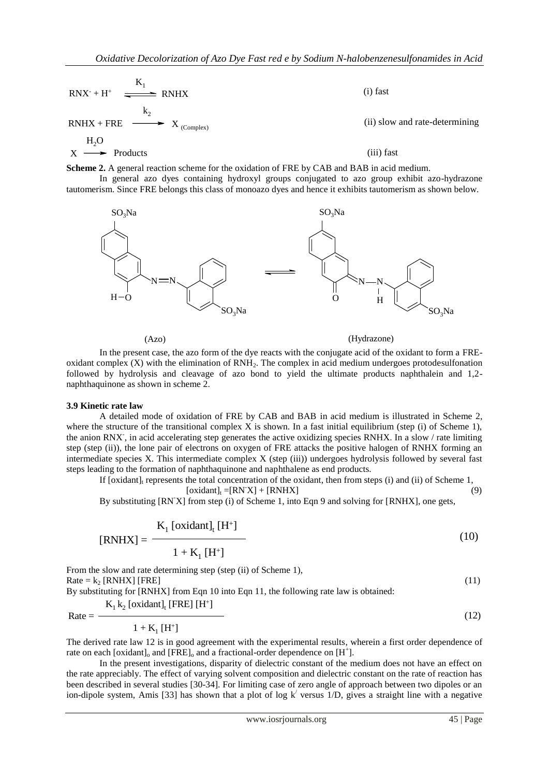$$
RNX^{2} + H^{+}
$$
\n
$$
KNHX + FRE
$$
\n
$$
k_{2}
$$
\n
$$
KNHX + FRE
$$
\n
$$
k_{2}
$$
\n(i) fast\n(ii) slow and rate-determining\n(i) slow and rate-determining\n(i) slow and rate-determining\n(i) slow and rate-determining\n(ii) slow and rate-determining\n(i) slow and rate-determining\n(i) slow and rate-determining\n(i) slow and rate-determining\n(ii) slow and rate-determining\n(i) slow and rate-determining\n(i) slow and rate-determining\n(i) slow and rate-determining\n(ii) slow and rate-determining\n(i) slow and rate-determining\n(i) slow and rate-determining\n(i) slow and rate-determining\n(iv) slow and rate-determining\n(iv) slow and rate-determining\n(iv) slow and rate-determining\n(iv) slow and rate-determining\n(iv) slow and rate-determining\n(iv) slow and rate-determining\n(v) slow and rate-determining\n(v) slow and rate-determining\n(v) slow and rate-determining\n(v) slow and rate-determining\n(v) slow and rate-determining\n(v) slow and rate-determining\n(v) slow and rate-determining\n(v) slow and rate-determining\n(v) slow and rate-determining\n(v) slow and rate-determining\n(v) slow and rate-determining\n(v) slow and rate-determining\n(v) slow and rate-determining\n(v) slow and rate-determining\n(v) slow and rate-determining\n(v) slow and rate-determining\n(v) slow and rate-determining\n(v) slow and rate-determining\n(v) slow and rate-determining\n(v) slow and rate-determining\n(v) slow and rate-determining\n(v) slow and rate-determining\n(v) slow and rate-determining\n(v) slow and rate-determining\n(v) slow and rate-determining\n(v) slow and rate-determining\n(v) slow and rate-determining\n(v) slow and rate-determining\n(v) slow and rate-determining\n(v) slow and rate-determining\n(v) slow and rate-determining\n(v) slow and rate-determining\n(v) slow and rate-determining\n(v) slow and rate-determining\n(v) slow and rate-determining\n(v) slow and rate-determining\n(v) slow and rate-determining\n(v) slow and rate-determining\n(v) slow and rate-determining\n(v) slow and rate-determining\n(v) slow and rate-determining\n(v) slow and rate-determining\n(v) slow and rate-determining\n(v) slow and rate-determining\n(v) slow and rate-determining\n(v) slow and rate-determining\n(v) slow and rate-determining\n(v) slow and rate-determining\n(v) slow and rate-determining\n(v) slow and rate-determining\n(v) slow and rate-determining\n(v) slow and rate-determining\n(v) slow and rate-determining\n(v) slow and rate-determining\n(v)

**Scheme 2.** A general reaction scheme for the oxidation of FRE by CAB and BAB in acid medium.

In general azo dyes containing hydroxyl groups conjugated to azo group exhibit azo-hydrazone tautomerism. Since FRE belongs this class of monoazo dyes and hence it exhibits tautomerism as shown below.



(Azo) (Hydrazone)

In the present case, the azo form of the dye reacts with the conjugate acid of the oxidant to form a FREoxidant complex  $(X)$  with the elimination of  $RNH<sub>2</sub>$ . The complex in acid medium undergoes protodesulfonation followed by hydrolysis and cleavage of azo bond to yield the ultimate products naphthalein and 1,2 naphthaquinone as shown in scheme 2.

#### **3.9 Kinetic rate law**

A detailed mode of oxidation of FRE by CAB and BAB in acid medium is illustrated in Scheme 2, where the structure of the transitional complex  $X$  is shown. In a fast initial equilibrium (step (i) of Scheme 1), the anion RNX<sup>-</sup>, in acid accelerating step generates the active oxidizing species RNHX. In a slow / rate limiting step (step (ii)), the lone pair of electrons on oxygen of FRE attacks the positive halogen of RNHX forming an intermediate species X. This intermediate complex X (step (iii)) undergoes hydrolysis followed by several fast steps leading to the formation of naphthaquinone and naphthalene as end products.

If [oxidant]<sub>t</sub> represents the total concentration of the oxidant, then from steps (i) and (ii) of Scheme 1,<br>[oxidant]<sub>t</sub> =[RN`X] + [RNHX] (9)

$$
[oxidant]_t = [RN'X] + [RNHX]
$$
\n(9)

By substituting [RN`X] from step (i) of Scheme 1, into Eqn 9 and solving for [RNHX], one gets,

$$
[\text{RNHX}] = \frac{\text{K}_1 \left[ \text{oxidant} \right]_t \left[ \text{H}^+ \right]}{1 + \text{K}_1 \left[ \text{H}^+ \right]}
$$
(10)

From the slow and rate determining step (step (ii) of Scheme 1),  $Rate = k_2$  [RNHX] [FRE] (11) By substituting for [RNHX] from Eqn 10 into Eqn 11, the following rate law is obtained:  $K_1 k_2$  [oxidant]<sub>t</sub> [FRE] [H<sup>+</sup>]

$$
\begin{array}{|c|c|c|c|c|}\n\hline\n\hline\n\text{12}\text{)} & \text{13}\n\end{array}
$$

 $1 + K_1$  [H<sup>+</sup>]

 $Rate =$ 

The derived rate law 12 is in good agreement with the experimental results, wherein a first order dependence of rate on each [oxidant]<sub>o</sub> and  $[{\rm FRE}]_o$  and a fractional-order dependence on  $[{\rm H}^+]$ .

In the present investigations, disparity of dielectric constant of the medium does not have an effect on the rate appreciably. The effect of varying solvent composition and dielectric constant on the rate of reaction has been described in several studies [30-34]. For limiting case of zero angle of approach between two dipoles or an ion-dipole system, Amis [33] has shown that a plot of log  $k'$  versus 1/D, gives a straight line with a negative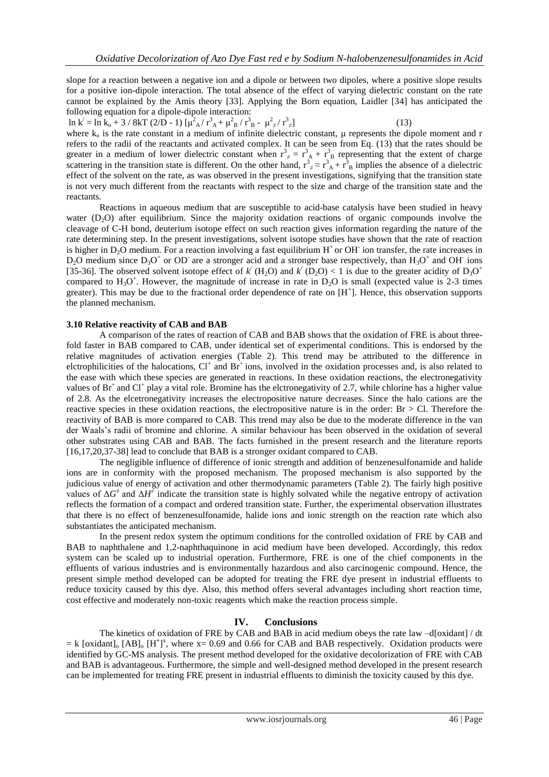slope for a reaction between a negative ion and a dipole or between two dipoles, where a positive slope results for a positive ion-dipole interaction. The total absence of the effect of varying dielectric constant on the rate cannot be explained by the Amis theory [33]. Applying the Born equation, Laidler [34] has anticipated the following equation for a dipole-dipole interaction:

 $\ln k' = \ln k_0 + 3 / 8kT (2/D - 1) [\mu^2_A / r^3_A + \mu^2_B / r^3_B - \mu^2_A / r^3]$ 

 $_{\neq}$ ] (13) where  $k_0$  is the rate constant in a medium of infinite dielectric constant,  $\mu$  represents the dipole moment and r refers to the radii of the reactants and activated complex. It can be seen from Eq. (13) that the rates should be greater in a medium of lower dielectric constant when  $r_A^3 = r_A^3 + r_B^3$  representing that the extent of charge scattering in the transition state is different. On the other hand,  $r^3 \neq r^3$  a +  $r^3$  implies the absence of a dielectric effect of the solvent on the rate, as was observed in the present investigations, signifying that the transition state is not very much different from the reactants with respect to the size and charge of the transition state and the reactants.

Reactions in aqueous medium that are susceptible to acid-base catalysis have been studied in heavy water  $(D<sub>2</sub>O)$  after equilibrium. Since the majority oxidation reactions of organic compounds involve the cleavage of C-H bond, deuterium isotope effect on such reaction gives information regarding the nature of the rate determining step. In the present investigations, solvent isotope studies have shown that the rate of reaction is higher in  $D_2O$  medium. For a reaction involving a fast equilibrium  $H^+$  or OH ion transfer, the rate increases in  $D_2O$  medium since  $D_3O^+$  or OD are a stronger acid and a stronger base respectively, than  $H_3O^+$  and OH ions [35-36]. The observed solvent isotope effect of  $k'(H_2O)$  and  $k'(D_2O) < 1$  is due to the greater acidity of  $D_3O^+$ compared to  $H_3O^+$ . However, the magnitude of increase in rate in  $D_2O$  is small (expected value is 2-3 times greater). This may be due to the fractional order dependence of rate on  $[H^+]$ . Hence, this observation supports the planned mechanism.

#### **3.10 Relative reactivity of CAB and BAB**

A comparison of the rates of reaction of CAB and BAB shows that the oxidation of FRE is about threefold faster in BAB compared to CAB, under identical set of experimental conditions. This is endorsed by the relative magnitudes of activation energies (Table 2). This trend may be attributed to the difference in elctrophilicities of the halocations,  $Cl^+$  and  $Br^+$  ions, involved in the oxidation processes and, is also related to the ease with which these species are generated in reactions. In these oxidation reactions, the electronegativity values of  $Br^+$  and  $Cl^+$  play a vital role. Bromine has the elctronegativity of 2.7, while chlorine has a higher value of 2.8. As the elcetronegativity increases the electropositive nature decreases. Since the halo cations are the reactive species in these oxidation reactions, the electropositive nature is in the order: Br > Cl. Therefore the reactivity of BAB is more compared to CAB. This trend may also be due to the moderate difference in the van der Waals's radii of bromine and chlorine. A similar behaviour has been observed in the oxidation of several other substrates using CAB and BAB. The facts furnished in the present research and the literature reports [16,17,20,37-38] lead to conclude that BAB is a stronger oxidant compared to CAB.

The negligible influence of difference of ionic strength and addition of benzenesulfonamide and halide ions are in conformity with the proposed mechanism. The proposed mechanism is also supported by the judicious value of energy of activation and other thermodynamic parameters (Table 2). The fairly high positive values of  $\Delta G^{\neq}$  and  $\Delta H^{\neq}$  indicate the transition state is highly solvated while the negative entropy of activation reflects the formation of a compact and ordered transition state. Further, the experimental observation illustrates that there is no effect of benzenesulfonamide, halide ions and ionic strength on the reaction rate which also substantiates the anticipated mechanism.

In the present redox system the optimum conditions for the controlled oxidation of FRE by CAB and BAB to naphthalene and 1,2-naphthaquinone in acid medium have been developed. Accordingly, this redox system can be scaled up to industrial operation. Furthermore, FRE is one of the chief components in the effluents of various industries and is environmentally hazardous and also carcinogenic compound. Hence, the present simple method developed can be adopted for treating the FRE dye present in industrial effluents to reduce toxicity caused by this dye. Also, this method offers several advantages including short reaction time, cost effective and moderately non-toxic reagents which make the reaction process simple.

#### **IV. Conclusions**

The kinetics of oxidation of FRE by CAB and BAB in acid medium obeys the rate law –d[oxidant] / dt  $=$  k [oxidant]<sub>o</sub> [AB]<sub>o</sub> [H<sup>+</sup>]<sup>x</sup>, where x= 0.69 and 0.66 for CAB and BAB respectively. Oxidation products were identified by GC-MS analysis. The present method developed for the oxidative decolorization of FRE with CAB and BAB is advantageous. Furthermore, the simple and well-designed method developed in the present research can be implemented for treating FRE present in industrial effluents to diminish the toxicity caused by this dye.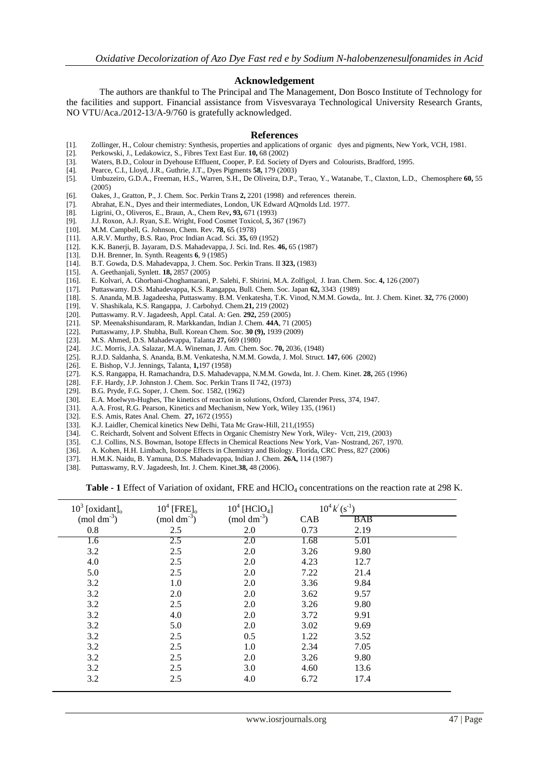#### **Acknowledgement**

The authors are thankful to The Principal and The Management, Don Bosco Institute of Technology for the facilities and support. Financial assistance from Visvesvaraya Technological University Research Grants, NO VTU/Aca./2012-13/A-9/760 is gratefully acknowledged.

#### **References**

- [1]. Zollinger, H., Colour chemistry: Synthesis, properties and applications of organic dyes and pigments, New York, VCH, 1981. [2]. Perkowski, J., Ledakowicz, S., Fibres Text East Eur. 10, 68 (2002)
- [2]. Perkowski, J., Ledakowicz, S., Fibres Text East Eur. **10,** 68 (2002)
- [3]. Waters, B.D., Colour in Dyehouse Effluent, Cooper, P. Ed. Society of Dyers and Colourists, Bradford, 1995.
- [4]. Pearce, C.I., Lloyd, J.R., Guthrie, J.T., Dyes Pigments **58,** 179 (2003)
- [5]. Umbuzeiro, G.D.A., Freeman, H.S., Warren, S.H., De Oliveira, D.P., Terao, Y., Watanabe, T., Claxton, L.D., Chemosphere **60,** 55 (2005)
- [6]. Oakes, J., Gratton, P., J. Chem. Soc. Perkin Trans **2,** 2201 (1998) and references therein.
- [7]. Abrahat, E.N., Dyes and their intermediates, London, UK Edward AQrnolds Ltd. 1977.
- [8]. Ligrini, O., Oliveros, E., Braun, A., Chem Rev**, 93,** 671 (1993)
- [9]. J.J. Roxon, A.J. Ryan, S.E. Wright, Food Cosmet Toxicol, *5***,** 367 (1967)
- [10]. M.M. Campbell, G. Johnson, Chem. Rev. **78,** 65 (1978)
- [11]. A.R.V. Murthy, B.S. Rao, Proc Indian Acad. Sci*.* **35,** 69 (1952)
- [12]. K.K. Banerji, B. Jayaram, D.S. Mahadevappa, J. Sci. Ind. Res. **46,** 65 (1987)
- [13]. D.H. Brenner, In. Synth. Reagents **6**, 9 (1985)
- [14]. B.T. Gowda, D.S. Mahadevappa, J. Chem. Soc. Perkin Trans. II **323,** (1983)
- [15]. A. Geethanjali, Synlett. **18**, 2857 (2005)<br>[16]. E. Kolvari, A. Ghorbani-Choghamarani,
- [16]. E. Kolvari, A. Ghorbani-Choghamarani, P. Salehi, F. Shirini, M.A. Zolfigol, J. Iran. Chem. Soc. **4,** 126 (2007)
- [17]. Puttaswamy. D.S. Mahadevappa, K.S. Rangappa, Bull. Chem. Soc. Japan **62,** 3343 (1989)
- [18]. S. Ananda, M.B. Jagadeesha, Puttaswamy. B.M. Venkatesha, T.K. Vinod, N.M.M. Gowda,. Int. J. Chem. Kinet. **32,** 776 (2000)
- [19]. V. Shashikala, K.S. Rangappa, J. Carbohyd. Chem.**21,** 219 (2002)
- [20]. Puttaswamy. R.V. Jagadeesh, Appl. Catal. A: Gen*.* **292,** 259 (2005)
- [21]. SP. Meenakshisundaram, R. Markkandan, Indian J. Chem*.* **44A***,* 71 (2005)
- [22]. Puttaswamy, J.P. Shubha, Bull. Korean Chem. Soc. **30 (9),** 1939 (2009)
- [23]. M.S. Ahmed, D.S. Mahadevappa, Talanta **27,** 669 (1980)
- [24]. J.C. Morris, J.A. Salazar, M.A. Wineman, J. Am. Chem. Soc. **70,** 2036, (1948)
- [25]. R.J.D. Saldanha, S. Ananda, B.M. Venkatesha, N.M.M. Gowda, J. Mol. Struct. **147,** 606 (2002)
- [26]. E. Bishop, V.J. Jennings, Talanta, **1,**197 (1958)
- [27]. K.S. Rangappa, H. Ramachandra, D.S. Mahadevappa, N.M.M. Gowda, Int. J. Chem. Kinet. **28,** 265 (1996)
- [28]. F.F. Hardy, J.P. Johnston J. Chem. Soc. Perkin Trans II 742, (1973)<br>[29]. B.G. Pryde, F.G. Soper, J. Chem. Soc. 1582, (1962)
- [29]. B.G. Pryde, F.G. Soper, J. Chem. Soc. 1582, (1962)<br>[30]. E.A. Moelwyn-Hughes, The kinetics of reaction in s
- [30]. E.A. Moelwyn-Hughes, The kinetics of reaction in solutions, Oxford, Clarender Press, 374, 1947.<br>[31]. A.A. Frost, R.G. Pearson, Kinetics and Mechanism, New York, Wiley 135, (1961)
- [31]. A.A. Frost, R.G. Pearson, Kinetics and Mechanism*,* New York, Wiley 135, (1961)
- [32]. E.S. Amis, Rates Anal. Chem. **27,** 1672 (1955)
- [33]. K.J. Laidler, Chemical kinetics New Delhi, Tata Mc Graw-Hill, 211,(1955)
- [34]. C. Reichardt, Solvent and Solvent Effects in Organic Chemistry New York, Wiley- Vctt, 219, (2003)
- [35]. C.J. Collins, N.S. Bowman, Isotope Effects in Chemical Reactions New York, Van- Nostrand, 267, 1970.
- [36]. A. Kohen, H.H. Limbach, Isotope Effects in Chemistry and Biology. Florida, CRC Press, 827 (2006)<br>[37]. H.M.K. Naidu, B. Yamuna, D.S. Mahadevappa, Indian J. Chem. **26A**, 114 (1987)
- [37]. H.M.K. Naidu, B. Yamuna, D.S. Mahadevappa, Indian J. Chem. **26A,** 114 (1987)
- [38]. Puttaswamy, R.V. Jagadeesh, Int. J. Chem. Kinet.**38,** 48 (2006).

Table - 1 Effect of Variation of oxidant, FRE and HClO<sub>4</sub> concentrations on the reaction rate at 298 K.

| $10^3$ [oxidant] $_o$    | $10^4$ [FRE] <sub>o</sub> | $10^4$ [HClO <sub>4</sub> ] |            | $10^4 k (s^{-1})$ |  |
|--------------------------|---------------------------|-----------------------------|------------|-------------------|--|
| $(mod \text{ } dm^{-3})$ | $(mod \text{ } dm^{-3})$  | $(mod \text{ } dm^{-3})$    | <b>CAB</b> | <b>BAB</b>        |  |
| 0.8                      | 2.5                       | 2.0                         | 0.73       | 2.19              |  |
| 1.6                      | 2.5                       | 2.0                         | 1.68       | 5.01              |  |
| 3.2                      | 2.5                       | 2.0                         | 3.26       | 9.80              |  |
| 4.0                      | 2.5                       | 2.0                         | 4.23       | 12.7              |  |
| 5.0                      | 2.5                       | 2.0                         | 7.22       | 21.4              |  |
| 3.2                      | 1.0                       | 2.0                         | 3.36       | 9.84              |  |
| 3.2                      | 2.0                       | 2.0                         | 3.62       | 9.57              |  |
| 3.2                      | 2.5                       | 2.0                         | 3.26       | 9.80              |  |
| 3.2                      | 4.0                       | 2.0                         | 3.72       | 9.91              |  |
| 3.2                      | 5.0                       | 2.0                         | 3.02       | 9.69              |  |
| 3.2                      | 2.5                       | 0.5                         | 1.22       | 3.52              |  |
| 3.2                      | 2.5                       | 1.0                         | 2.34       | 7.05              |  |
| 3.2                      | 2.5                       | 2.0                         | 3.26       | 9.80              |  |
| 3.2                      | 2.5                       | 3.0                         | 4.60       | 13.6              |  |
| 3.2                      | 2.5                       | 4.0                         | 6.72       | 17.4              |  |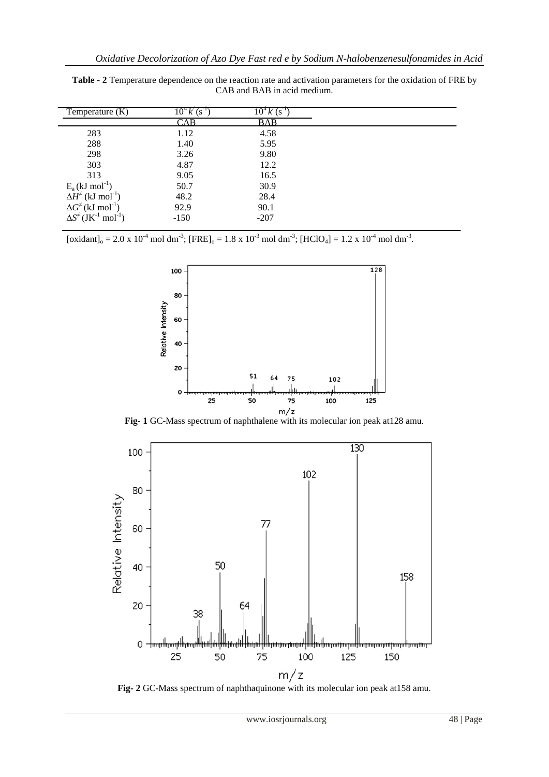| Temperature (K)                                         | $10^4$ K (s <sup>-1</sup> | $10^4 K$ (s <sup>-1</sup> ) |  |
|---------------------------------------------------------|---------------------------|-----------------------------|--|
|                                                         | CAB                       | BAB                         |  |
| 283                                                     | 1.12                      | 4.58                        |  |
| 288                                                     | 1.40                      | 5.95                        |  |
| 298                                                     | 3.26                      | 9.80                        |  |
| 303                                                     | 4.87                      | 12.2                        |  |
| 313                                                     | 9.05                      | 16.5                        |  |
| $E_a(kJ \text{ mol}^{-1})$                              | 50.7                      | 30.9                        |  |
| $\Delta H^{\neq}$ (kJ mol <sup>-1</sup> )               | 48.2                      | 28.4                        |  |
| $\Delta G^{\neq}$ (kJ mol <sup>-1</sup> )               | 92.9                      | 90.1                        |  |
| $\Delta S^{\neq}$ (JK <sup>-1</sup> mol <sup>-1</sup> ) | $-150$                    | $-207$                      |  |

**Table - 2** Temperature dependence on the reaction rate and activation parameters for the oxidation of FRE by CAB and BAB in acid medium.

[oxidant]<sub>0</sub> = 2.0 x 10<sup>-4</sup> mol dm<sup>-3</sup>; [FRE]<sub>0</sub> = 1.8 x 10<sup>-3</sup> mol dm<sup>-3</sup>; [HClO<sub>4</sub>] = 1.2 x 10<sup>-4</sup> mol dm<sup>-3</sup>.



**Fig- 1** GC-Mass spectrum of naphthalene with its molecular ion peak at128 amu.



**Fig- 2** GC-Mass spectrum of naphthaquinone with its molecular ion peak at158 amu.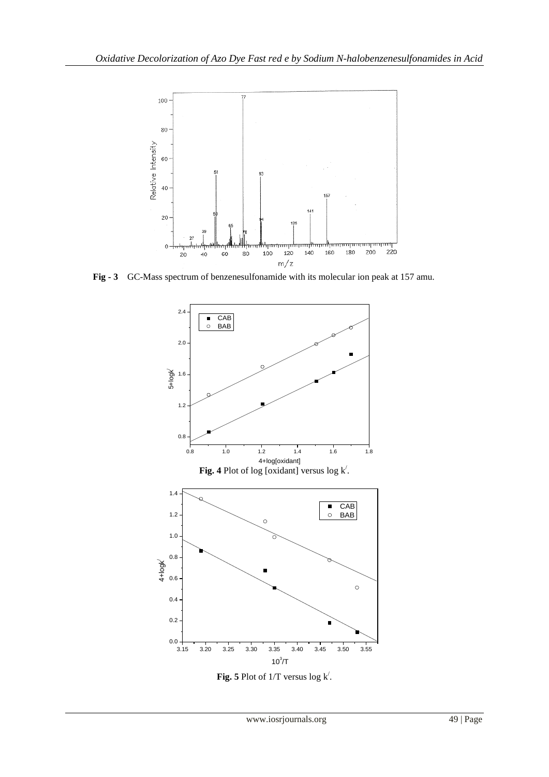

**Fig - 3** GC-Mass spectrum of benzenesulfonamide with its molecular ion peak at 157 amu.